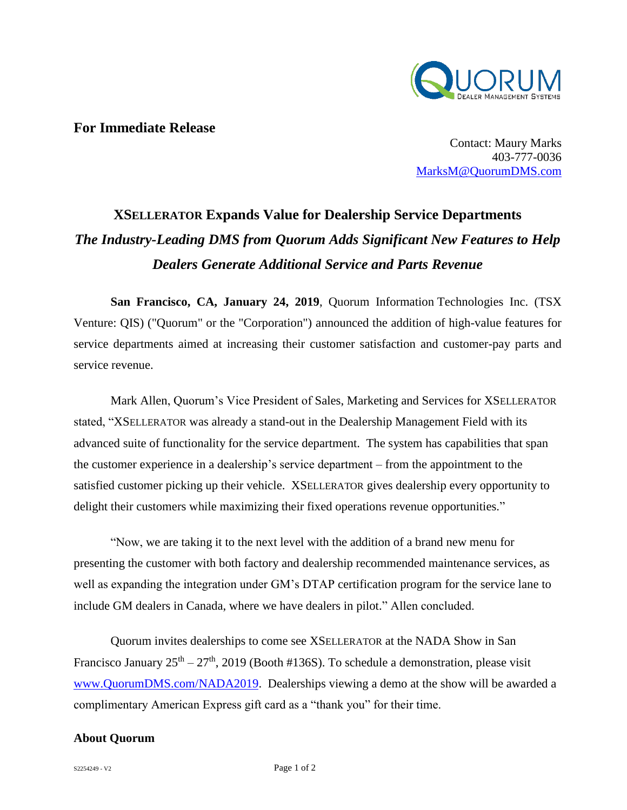

## **For Immediate Release**

Contact: Maury Marks 403-777-0036 [MarksM@QuorumDMS.com](mailto:MarksM@QuorumDMS.com)

## **XSELLERATOR Expands Value for Dealership Service Departments** *The Industry-Leading DMS from Quorum Adds Significant New Features to Help Dealers Generate Additional Service and Parts Revenue*

**San Francisco, CA, January 24, 2019**, Quorum Information Technologies Inc. (TSX Venture: QIS) ("Quorum" or the "Corporation") announced the addition of high-value features for service departments aimed at increasing their customer satisfaction and customer-pay parts and service revenue.

Mark Allen, Quorum's Vice President of Sales, Marketing and Services for XSELLERATOR stated, "XSELLERATOR was already a stand-out in the Dealership Management Field with its advanced suite of functionality for the service department. The system has capabilities that span the customer experience in a dealership's service department – from the appointment to the satisfied customer picking up their vehicle. XSELLERATOR gives dealership every opportunity to delight their customers while maximizing their fixed operations revenue opportunities."

"Now, we are taking it to the next level with the addition of a brand new menu for presenting the customer with both factory and dealership recommended maintenance services, as well as expanding the integration under GM's DTAP certification program for the service lane to include GM dealers in Canada, where we have dealers in pilot." Allen concluded.

Quorum invites dealerships to come see XSELLERATOR at the NADA Show in San Francisco January  $25<sup>th</sup> - 27<sup>th</sup>$ , 2019 (Booth #136S). To schedule a demonstration, please visit [www.QuorumDMS.com/NADA2019.](http://www.quorumdms.com/NADA2019) Dealerships viewing a demo at the show will be awarded a complimentary American Express gift card as a "thank you" for their time.

## **About Quorum**